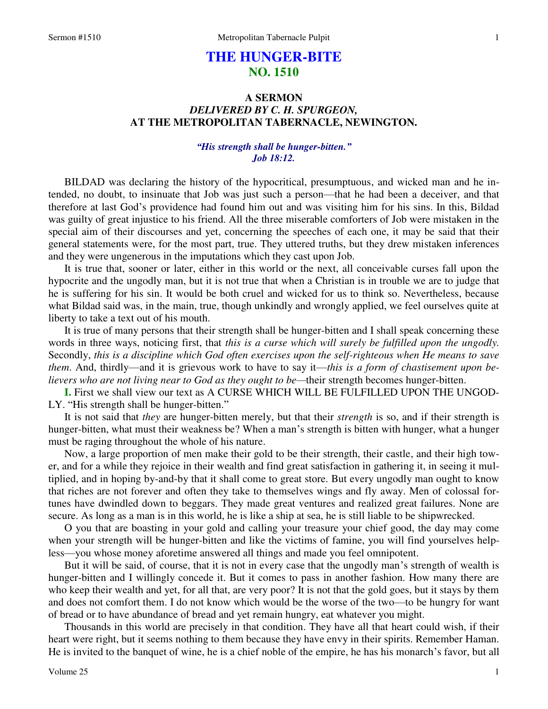# **THE HUNGER-BITE NO. 1510**

## **A SERMON**  *DELIVERED BY C. H. SPURGEON,*  **AT THE METROPOLITAN TABERNACLE, NEWINGTON.**

## *"His strength shall be hunger-bitten." Job 18:12.*

BILDAD was declaring the history of the hypocritical, presumptuous, and wicked man and he intended, no doubt, to insinuate that Job was just such a person—that he had been a deceiver, and that therefore at last God's providence had found him out and was visiting him for his sins. In this, Bildad was guilty of great injustice to his friend. All the three miserable comforters of Job were mistaken in the special aim of their discourses and yet, concerning the speeches of each one, it may be said that their general statements were, for the most part, true. They uttered truths, but they drew mistaken inferences and they were ungenerous in the imputations which they cast upon Job.

 It is true that, sooner or later, either in this world or the next, all conceivable curses fall upon the hypocrite and the ungodly man, but it is not true that when a Christian is in trouble we are to judge that he is suffering for his sin. It would be both cruel and wicked for us to think so. Nevertheless, because what Bildad said was, in the main, true, though unkindly and wrongly applied, we feel ourselves quite at liberty to take a text out of his mouth.

 It is true of many persons that their strength shall be hunger-bitten and I shall speak concerning these words in three ways, noticing first, that *this is a curse which will surely be fulfilled upon the ungodly.*  Secondly, *this is a discipline which God often exercises upon the self-righteous when He means to save them*. And, thirdly—and it is grievous work to have to say it—*this is a form of chastisement upon believers who are not living near to God as they ought to be—their strength becomes hunger-bitten.* 

**I.** First we shall view our text as A CURSE WHICH WILL BE FULFILLED UPON THE UNGOD-LY. "His strength shall be hunger-bitten."

 It is not said that *they* are hunger-bitten merely, but that their *strength* is so, and if their strength is hunger-bitten, what must their weakness be? When a man's strength is bitten with hunger, what a hunger must be raging throughout the whole of his nature.

 Now, a large proportion of men make their gold to be their strength, their castle, and their high tower, and for a while they rejoice in their wealth and find great satisfaction in gathering it, in seeing it multiplied, and in hoping by-and-by that it shall come to great store. But every ungodly man ought to know that riches are not forever and often they take to themselves wings and fly away. Men of colossal fortunes have dwindled down to beggars. They made great ventures and realized great failures. None are secure. As long as a man is in this world, he is like a ship at sea, he is still liable to be shipwrecked.

 O you that are boasting in your gold and calling your treasure your chief good, the day may come when your strength will be hunger-bitten and like the victims of famine, you will find yourselves helpless—you whose money aforetime answered all things and made you feel omnipotent.

 But it will be said, of course, that it is not in every case that the ungodly man's strength of wealth is hunger-bitten and I willingly concede it. But it comes to pass in another fashion. How many there are who keep their wealth and yet, for all that, are very poor? It is not that the gold goes, but it stays by them and does not comfort them. I do not know which would be the worse of the two—to be hungry for want of bread or to have abundance of bread and yet remain hungry, eat whatever you might.

 Thousands in this world are precisely in that condition. They have all that heart could wish, if their heart were right, but it seems nothing to them because they have envy in their spirits. Remember Haman. He is invited to the banquet of wine, he is a chief noble of the empire, he has his monarch's favor, but all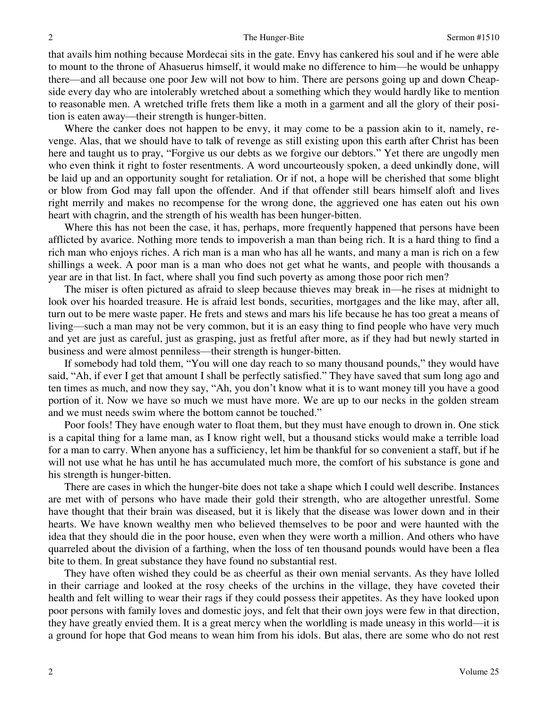that avails him nothing because Mordecai sits in the gate. Envy has cankered his soul and if he were able to mount to the throne of Ahasuerus himself, it would make no difference to him—he would be unhappy there—and all because one poor Jew will not bow to him. There are persons going up and down Cheapside every day who are intolerably wretched about a something which they would hardly like to mention to reasonable men. A wretched trifle frets them like a moth in a garment and all the glory of their position is eaten away—their strength is hunger-bitten.

 Where the canker does not happen to be envy, it may come to be a passion akin to it, namely, revenge. Alas, that we should have to talk of revenge as still existing upon this earth after Christ has been here and taught us to pray, "Forgive us our debts as we forgive our debtors." Yet there are ungodly men who even think it right to foster resentments. A word uncourteously spoken, a deed unkindly done, will be laid up and an opportunity sought for retaliation. Or if not, a hope will be cherished that some blight or blow from God may fall upon the offender. And if that offender still bears himself aloft and lives right merrily and makes no recompense for the wrong done, the aggrieved one has eaten out his own heart with chagrin, and the strength of his wealth has been hunger-bitten.

 Where this has not been the case, it has, perhaps, more frequently happened that persons have been afflicted by avarice. Nothing more tends to impoverish a man than being rich. It is a hard thing to find a rich man who enjoys riches. A rich man is a man who has all he wants, and many a man is rich on a few shillings a week. A poor man is a man who does not get what he wants, and people with thousands a year are in that list. In fact, where shall you find such poverty as among those poor rich men?

 The miser is often pictured as afraid to sleep because thieves may break in—he rises at midnight to look over his hoarded treasure. He is afraid lest bonds, securities, mortgages and the like may, after all, turn out to be mere waste paper. He frets and stews and mars his life because he has too great a means of living—such a man may not be very common, but it is an easy thing to find people who have very much and yet are just as careful, just as grasping, just as fretful after more, as if they had but newly started in business and were almost penniless—their strength is hunger-bitten.

 If somebody had told them, "You will one day reach to so many thousand pounds," they would have said, "Ah, if ever I get that amount I shall be perfectly satisfied." They have saved that sum long ago and ten times as much, and now they say, "Ah, you don't know what it is to want money till you have a good portion of it. Now we have so much we must have more. We are up to our necks in the golden stream and we must needs swim where the bottom cannot be touched."

 Poor fools! They have enough water to float them, but they must have enough to drown in. One stick is a capital thing for a lame man, as I know right well, but a thousand sticks would make a terrible load for a man to carry. When anyone has a sufficiency, let him be thankful for so convenient a staff, but if he will not use what he has until he has accumulated much more, the comfort of his substance is gone and his strength is hunger-bitten.

 There are cases in which the hunger-bite does not take a shape which I could well describe. Instances are met with of persons who have made their gold their strength, who are altogether unrestful. Some have thought that their brain was diseased, but it is likely that the disease was lower down and in their hearts. We have known wealthy men who believed themselves to be poor and were haunted with the idea that they should die in the poor house, even when they were worth a million. And others who have quarreled about the division of a farthing, when the loss of ten thousand pounds would have been a flea bite to them. In great substance they have found no substantial rest.

 They have often wished they could be as cheerful as their own menial servants. As they have lolled in their carriage and looked at the rosy cheeks of the urchins in the village, they have coveted their health and felt willing to wear their rags if they could possess their appetites. As they have looked upon poor persons with family loves and domestic joys, and felt that their own joys were few in that direction, they have greatly envied them. It is a great mercy when the worldling is made uneasy in this world—it is a ground for hope that God means to wean him from his idols. But alas, there are some who do not rest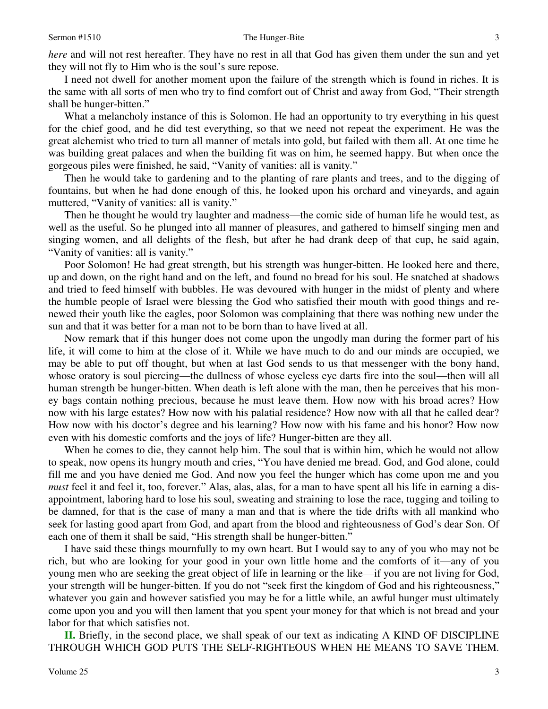*here* and will not rest hereafter. They have no rest in all that God has given them under the sun and yet they will not fly to Him who is the soul's sure repose.

 I need not dwell for another moment upon the failure of the strength which is found in riches. It is the same with all sorts of men who try to find comfort out of Christ and away from God, "Their strength shall be hunger-bitten."

What a melancholy instance of this is Solomon. He had an opportunity to try everything in his quest for the chief good, and he did test everything, so that we need not repeat the experiment. He was the great alchemist who tried to turn all manner of metals into gold, but failed with them all. At one time he was building great palaces and when the building fit was on him, he seemed happy. But when once the gorgeous piles were finished, he said, "Vanity of vanities: all is vanity."

 Then he would take to gardening and to the planting of rare plants and trees, and to the digging of fountains, but when he had done enough of this, he looked upon his orchard and vineyards, and again muttered, "Vanity of vanities: all is vanity."

 Then he thought he would try laughter and madness—the comic side of human life he would test, as well as the useful. So he plunged into all manner of pleasures, and gathered to himself singing men and singing women, and all delights of the flesh, but after he had drank deep of that cup, he said again, "Vanity of vanities: all is vanity."

 Poor Solomon! He had great strength, but his strength was hunger-bitten. He looked here and there, up and down, on the right hand and on the left, and found no bread for his soul. He snatched at shadows and tried to feed himself with bubbles. He was devoured with hunger in the midst of plenty and where the humble people of Israel were blessing the God who satisfied their mouth with good things and renewed their youth like the eagles, poor Solomon was complaining that there was nothing new under the sun and that it was better for a man not to be born than to have lived at all.

 Now remark that if this hunger does not come upon the ungodly man during the former part of his life, it will come to him at the close of it. While we have much to do and our minds are occupied, we may be able to put off thought, but when at last God sends to us that messenger with the bony hand, whose oratory is soul piercing—the dullness of whose eyeless eye darts fire into the soul—then will all human strength be hunger-bitten. When death is left alone with the man, then he perceives that his money bags contain nothing precious, because he must leave them. How now with his broad acres? How now with his large estates? How now with his palatial residence? How now with all that he called dear? How now with his doctor's degree and his learning? How now with his fame and his honor? How now even with his domestic comforts and the joys of life? Hunger-bitten are they all.

 When he comes to die, they cannot help him. The soul that is within him, which he would not allow to speak, now opens its hungry mouth and cries, "You have denied me bread. God, and God alone, could fill me and you have denied me God. And now you feel the hunger which has come upon me and you *must* feel it and feel it, too, forever." Alas, alas, alas, for a man to have spent all his life in earning a disappointment, laboring hard to lose his soul, sweating and straining to lose the race, tugging and toiling to be damned, for that is the case of many a man and that is where the tide drifts with all mankind who seek for lasting good apart from God, and apart from the blood and righteousness of God's dear Son. Of each one of them it shall be said, "His strength shall be hunger-bitten."

 I have said these things mournfully to my own heart. But I would say to any of you who may not be rich, but who are looking for your good in your own little home and the comforts of it—any of you young men who are seeking the great object of life in learning or the like—if you are not living for God, your strength will be hunger-bitten. If you do not "seek first the kingdom of God and his righteousness," whatever you gain and however satisfied you may be for a little while, an awful hunger must ultimately come upon you and you will then lament that you spent your money for that which is not bread and your labor for that which satisfies not.

 **II.** Briefly, in the second place, we shall speak of our text as indicating A KIND OF DISCIPLINE THROUGH WHICH GOD PUTS THE SELF-RIGHTEOUS WHEN HE MEANS TO SAVE THEM.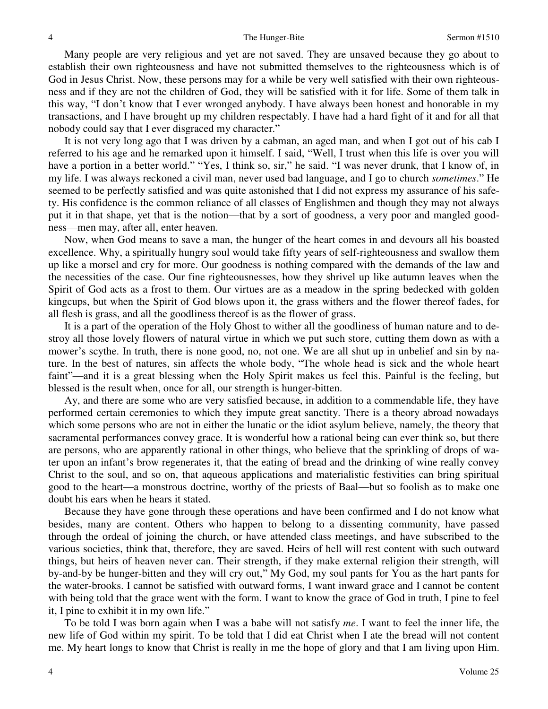Many people are very religious and yet are not saved. They are unsaved because they go about to establish their own righteousness and have not submitted themselves to the righteousness which is of God in Jesus Christ. Now, these persons may for a while be very well satisfied with their own righteousness and if they are not the children of God, they will be satisfied with it for life. Some of them talk in this way, "I don't know that I ever wronged anybody. I have always been honest and honorable in my transactions, and I have brought up my children respectably. I have had a hard fight of it and for all that nobody could say that I ever disgraced my character."

 It is not very long ago that I was driven by a cabman, an aged man, and when I got out of his cab I referred to his age and he remarked upon it himself. I said, "Well, I trust when this life is over you will have a portion in a better world." "Yes, I think so, sir," he said. "I was never drunk, that I know of, in my life. I was always reckoned a civil man, never used bad language, and I go to church *sometimes*." He seemed to be perfectly satisfied and was quite astonished that I did not express my assurance of his safety. His confidence is the common reliance of all classes of Englishmen and though they may not always put it in that shape, yet that is the notion—that by a sort of goodness, a very poor and mangled goodness—men may, after all, enter heaven.

 Now, when God means to save a man, the hunger of the heart comes in and devours all his boasted excellence. Why, a spiritually hungry soul would take fifty years of self-righteousness and swallow them up like a morsel and cry for more. Our goodness is nothing compared with the demands of the law and the necessities of the case. Our fine righteousnesses, how they shrivel up like autumn leaves when the Spirit of God acts as a frost to them. Our virtues are as a meadow in the spring bedecked with golden kingcups, but when the Spirit of God blows upon it, the grass withers and the flower thereof fades, for all flesh is grass, and all the goodliness thereof is as the flower of grass.

 It is a part of the operation of the Holy Ghost to wither all the goodliness of human nature and to destroy all those lovely flowers of natural virtue in which we put such store, cutting them down as with a mower's scythe. In truth, there is none good, no, not one. We are all shut up in unbelief and sin by nature. In the best of natures, sin affects the whole body, "The whole head is sick and the whole heart faint"—and it is a great blessing when the Holy Spirit makes us feel this. Painful is the feeling, but blessed is the result when, once for all, our strength is hunger-bitten.

Ay, and there are some who are very satisfied because, in addition to a commendable life, they have performed certain ceremonies to which they impute great sanctity. There is a theory abroad nowadays which some persons who are not in either the lunatic or the idiot asylum believe, namely, the theory that sacramental performances convey grace. It is wonderful how a rational being can ever think so, but there are persons, who are apparently rational in other things, who believe that the sprinkling of drops of water upon an infant's brow regenerates it, that the eating of bread and the drinking of wine really convey Christ to the soul, and so on, that aqueous applications and materialistic festivities can bring spiritual good to the heart—a monstrous doctrine, worthy of the priests of Baal—but so foolish as to make one doubt his ears when he hears it stated.

 Because they have gone through these operations and have been confirmed and I do not know what besides, many are content. Others who happen to belong to a dissenting community, have passed through the ordeal of joining the church, or have attended class meetings, and have subscribed to the various societies, think that, therefore, they are saved. Heirs of hell will rest content with such outward things, but heirs of heaven never can. Their strength, if they make external religion their strength, will by-and-by be hunger-bitten and they will cry out," My God, my soul pants for You as the hart pants for the water-brooks. I cannot be satisfied with outward forms, I want inward grace and I cannot be content with being told that the grace went with the form. I want to know the grace of God in truth, I pine to feel it, I pine to exhibit it in my own life."

 To be told I was born again when I was a babe will not satisfy *me*. I want to feel the inner life, the new life of God within my spirit. To be told that I did eat Christ when I ate the bread will not content me. My heart longs to know that Christ is really in me the hope of glory and that I am living upon Him.

4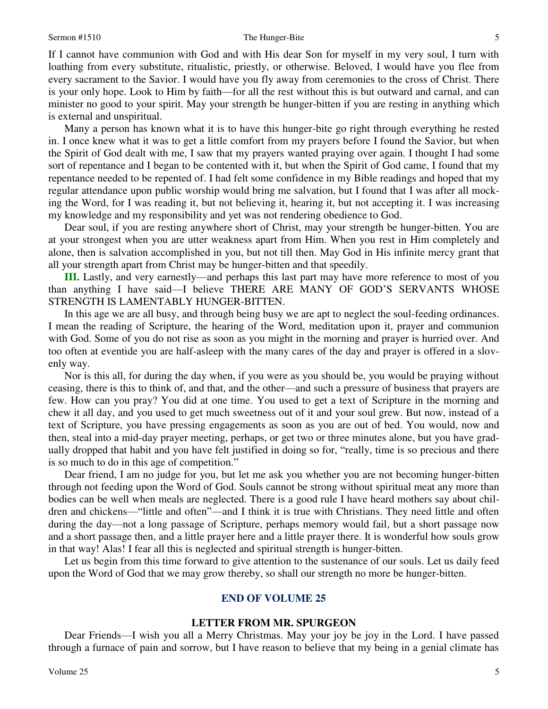#### Sermon #1510 The Hunger-Bite

If I cannot have communion with God and with His dear Son for myself in my very soul, I turn with loathing from every substitute, ritualistic, priestly, or otherwise. Beloved, I would have you flee from every sacrament to the Savior. I would have you fly away from ceremonies to the cross of Christ. There is your only hope. Look to Him by faith—for all the rest without this is but outward and carnal, and can minister no good to your spirit. May your strength be hunger-bitten if you are resting in anything which is external and unspiritual.

 Many a person has known what it is to have this hunger-bite go right through everything he rested in. I once knew what it was to get a little comfort from my prayers before I found the Savior, but when the Spirit of God dealt with me, I saw that my prayers wanted praying over again. I thought I had some sort of repentance and I began to be contented with it, but when the Spirit of God came, I found that my repentance needed to be repented of. I had felt some confidence in my Bible readings and hoped that my regular attendance upon public worship would bring me salvation, but I found that I was after all mocking the Word, for I was reading it, but not believing it, hearing it, but not accepting it. I was increasing my knowledge and my responsibility and yet was not rendering obedience to God.

 Dear soul, if you are resting anywhere short of Christ, may your strength be hunger-bitten. You are at your strongest when you are utter weakness apart from Him. When you rest in Him completely and alone, then is salvation accomplished in you, but not till then. May God in His infinite mercy grant that all your strength apart from Christ may be hunger-bitten and that speedily.

**III.** Lastly, and very earnestly—and perhaps this last part may have more reference to most of you than anything I have said—I believe THERE ARE MANY OF GOD'S SERVANTS WHOSE STRENGTH IS LAMENTABLY HUNGER-BITTEN.

 In this age we are all busy, and through being busy we are apt to neglect the soul-feeding ordinances. I mean the reading of Scripture, the hearing of the Word, meditation upon it, prayer and communion with God. Some of you do not rise as soon as you might in the morning and prayer is hurried over. And too often at eventide you are half-asleep with the many cares of the day and prayer is offered in a slovenly way.

 Nor is this all, for during the day when, if you were as you should be, you would be praying without ceasing, there is this to think of, and that, and the other—and such a pressure of business that prayers are few. How can you pray? You did at one time. You used to get a text of Scripture in the morning and chew it all day, and you used to get much sweetness out of it and your soul grew. But now, instead of a text of Scripture, you have pressing engagements as soon as you are out of bed. You would, now and then, steal into a mid-day prayer meeting, perhaps, or get two or three minutes alone, but you have gradually dropped that habit and you have felt justified in doing so for, "really, time is so precious and there is so much to do in this age of competition."

 Dear friend, I am no judge for you, but let me ask you whether you are not becoming hunger-bitten through not feeding upon the Word of God. Souls cannot be strong without spiritual meat any more than bodies can be well when meals are neglected. There is a good rule I have heard mothers say about children and chickens—"little and often"—and I think it is true with Christians. They need little and often during the day—not a long passage of Scripture, perhaps memory would fail, but a short passage now and a short passage then, and a little prayer here and a little prayer there. It is wonderful how souls grow in that way! Alas! I fear all this is neglected and spiritual strength is hunger-bitten.

 Let us begin from this time forward to give attention to the sustenance of our souls. Let us daily feed upon the Word of God that we may grow thereby, so shall our strength no more be hunger-bitten.

## **END OF VOLUME 25**

## **LETTER FROM MR. SPURGEON**

Dear Friends—I wish you all a Merry Christmas. May your joy be joy in the Lord. I have passed through a furnace of pain and sorrow, but I have reason to believe that my being in a genial climate has